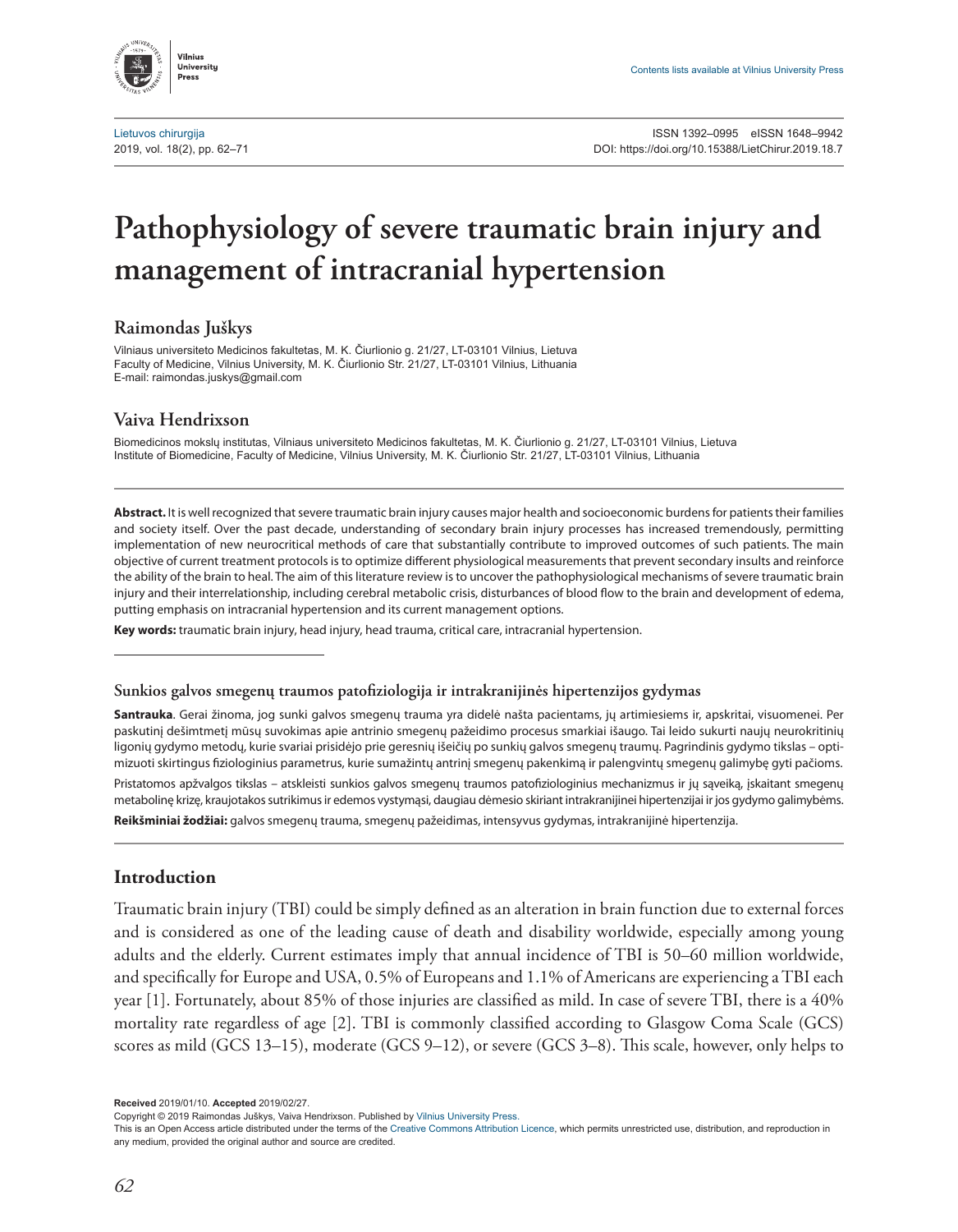Vilnius **Universitu** Droce

# **Pathophysiology of severe traumatic brain injury and management of intracranial hypertension**

**Raimondas Juškys**

Vilniaus universiteto Medicinos fakultetas, M. K. Čiurlionio g. 21/27, LT-03101 Vilnius, Lietuva Faculty of Medicine, Vilnius University, M. K. Čiurlionio Str. 21/27, LT-03101 Vilnius, Lithuania E-mail: [raimondas.juskys@gmail.com](mailto:raimondas.juskys@gmail.com)

## **Vaiva Hendrixson**

Biomedicinos mokslų institutas, Vilniaus universiteto Medicinos fakultetas, M. K. Čiurlionio g. 21/27, LT-03101 Vilnius, Lietuva Institute of Biomedicine, Faculty of Medicine, Vilnius University, M. K. Čiurlionio Str. 21/27, LT-03101 Vilnius, Lithuania

**Abstract.** It is well recognized that severe traumatic brain injury causes major health and socioeconomic burdens for patients their families and society itself. Over the past decade, understanding of secondary brain injury processes has increased tremendously, permitting implementation of new neurocritical methods of care that substantially contribute to improved outcomes of such patients. The main objective of current treatment protocols is to optimize different physiological measurements that prevent secondary insults and reinforce the ability of the brain to heal. The aim of this literature review is to uncover the pathophysiological mechanisms of severe traumatic brain injury and their interrelationship, including cerebral metabolic crisis, disturbances of blood flow to the brain and development of edema, putting emphasis on intracranial hypertension and its current management options.

**Key words:** traumatic brain injury, head injury, head trauma, critical care, intracranial hypertension.

#### **Sunkios galvos smegenų traumos patofiziologija ir intrakranijinės hipertenzijos gydymas**

**Santrauka**. Gerai žinoma, jog sunki galvos smegenų trauma yra didelė našta pacientams, jų artimiesiems ir, apskritai, visuomenei. Per paskutinį dešimtmetį mūsų suvokimas apie antrinio smegenų pažeidimo procesus smarkiai išaugo. Tai leido sukurti naujų neurokritinių ligonių gydymo metodų, kurie svariai prisidėjo prie geresnių išeičių po sunkių galvos smegenų traumų. Pagrindinis gydymo tikslas – optimizuoti skirtingus fiziologinius parametrus, kurie sumažintų antrinį smegenų pakenkimą ir palengvintų smegenų galimybę gyti pačioms. Pristatomos apžvalgos tikslas – atskleisti sunkios galvos smegenų traumos patofiziologinius mechanizmus ir jų sąveiką, įskaitant smegenų metabolinę krizę, kraujotakos sutrikimus ir edemos vystymąsi, daugiau dėmesio skiriant intrakranijinei hipertenzijai ir jos gydymo galimybėms.

**Reikšminiai žodžiai:** galvos smegenų trauma, smegenų pažeidimas, intensyvus gydymas, intrakranijinė hipertenzija.

### **Introduction**

Traumatic brain injury (TBI) could be simply defined as an alteration in brain function due to external forces and is considered as one of the leading cause of death and disability worldwide, especially among young adults and the elderly. Current estimates imply that annual incidence of TBI is 50–60 million worldwide, and specifically for Europe and USA, 0.5% of Europeans and 1.1% of Americans are experiencing a TBI each year [1]. Fortunately, about 85% of those injuries are classified as mild. In case of severe TBI, there is a 40% mortality rate regardless of age [2]. TBI is commonly classified according to Glasgow Coma Scale (GCS) scores as mild (GCS 13–15), moderate (GCS 9–12), or severe (GCS 3–8). This scale, however, only helps to

**Received** 2019/01/10. **Accepted** 2019/02/27.

Copyright © 2019 Raimondas Juškys, Vaiva Hendrixson. Published by [Vilnius University Press](https://www.vu.lt/leidyba/).

This is an Open Access article distributed under the terms of the [Creative Commons Attribution Licence,](https://creativecommons.org/licenses/by/4.0/) which permits unrestricted use, distribution, and reproduction in any medium, provided the original author and source are credited.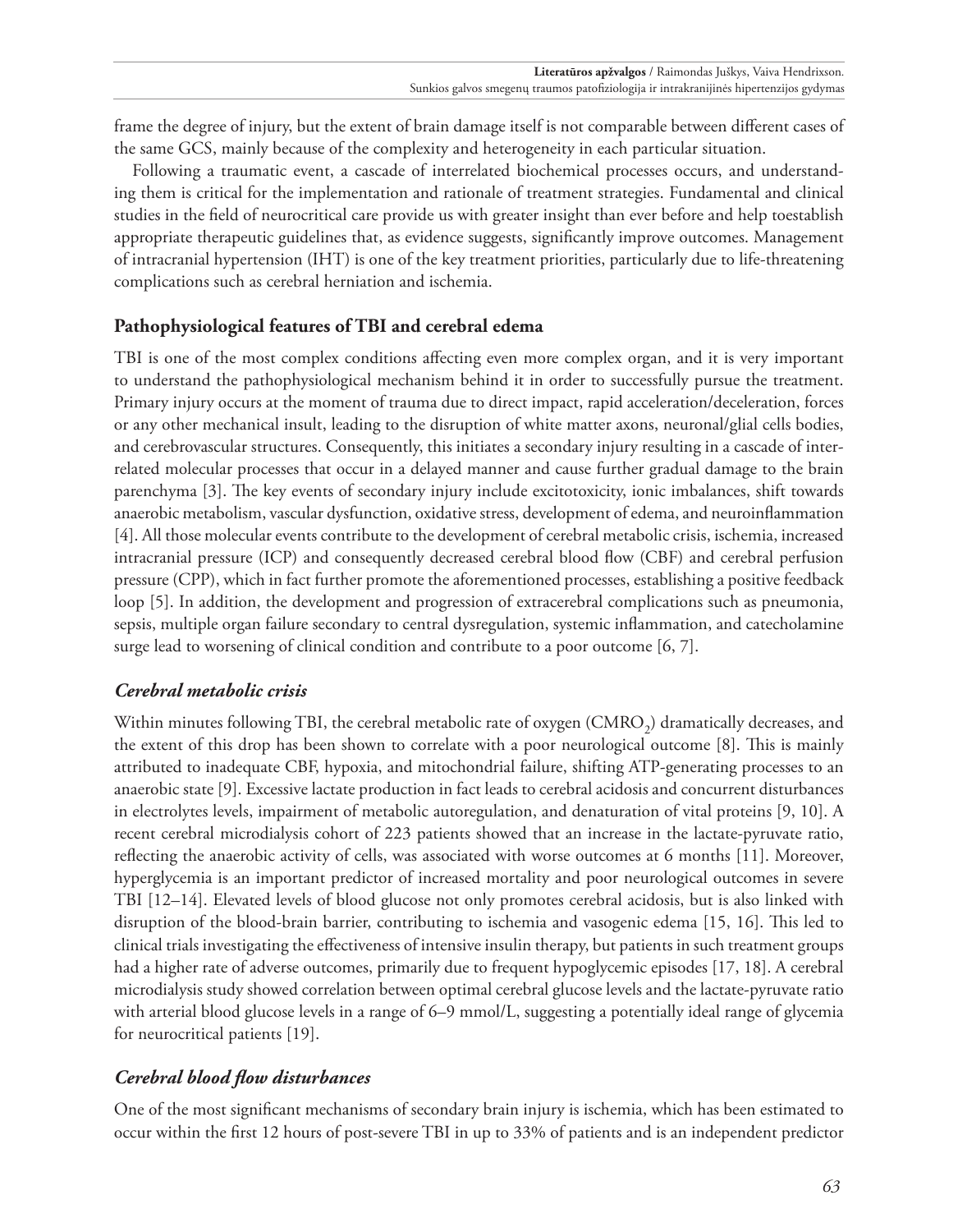frame the degree of injury, but the extent of brain damage itself is not comparable between different cases of the same GCS, mainly because of the complexity and heterogeneity in each particular situation.

Following a traumatic event, a cascade of interrelated biochemical processes occurs, and understanding them is critical for the implementation and rationale of treatment strategies. Fundamental and clinical studies in the field of neurocritical care provide us with greater insight than ever before and help toestablish appropriate therapeutic guidelines that, as evidence suggests, significantly improve outcomes. Management of intracranial hypertension (IHT) is one of the key treatment priorities, particularly due to life-threatening complications such as cerebral herniation and ischemia.

# **Pathophysiological features of TBI and cerebral edema**

TBI is one of the most complex conditions affecting even more complex organ, and it is very important to understand the pathophysiological mechanism behind it in order to successfully pursue the treatment. Primary injury occurs at the moment of trauma due to direct impact, rapid acceleration/deceleration, forces or any other mechanical insult, leading to the disruption of white matter axons, neuronal/glial cells bodies, and cerebrovascular structures. Consequently, this initiates a secondary injury resulting in a cascade of interrelated molecular processes that occur in a delayed manner and cause further gradual damage to the brain parenchyma [3]. The key events of secondary injury include excitotoxicity, ionic imbalances, shift towards anaerobic metabolism, vascular dysfunction, oxidative stress, development of edema, and neuroinflammation [4]. All those molecular events contribute to the development of cerebral metabolic crisis, ischemia, increased intracranial pressure (ICP) and consequently decreased cerebral blood flow (CBF) and cerebral perfusion pressure (CPP), which in fact further promote the aforementioned processes, establishing a positive feedback loop [5]. In addition, the development and progression of extracerebral complications such as pneumonia, sepsis, multiple organ failure secondary to central dysregulation, systemic inflammation, and catecholamine surge lead to worsening of clinical condition and contribute to a poor outcome [6, 7].

# *Cerebral metabolic crisis*

Within minutes following TBI, the cerebral metabolic rate of oxygen (CMRO<sub>2</sub>) dramatically decreases, and the extent of this drop has been shown to correlate with a poor neurological outcome [8]. This is mainly attributed to inadequate CBF, hypoxia, and mitochondrial failure, shifting ATP-generating processes to an anaerobic state [9]. Excessive lactate production in fact leads to cerebral acidosis and concurrent disturbances in electrolytes levels, impairment of metabolic autoregulation, and denaturation of vital proteins [9, 10]. A recent cerebral microdialysis cohort of 223 patients showed that an increase in the lactate-pyruvate ratio, reflecting the anaerobic activity of cells, was associated with worse outcomes at 6 months [11]. Moreover, hyperglycemia is an important predictor of increased mortality and poor neurological outcomes in severe TBI [12–14]. Elevated levels of blood glucose not only promotes cerebral acidosis, but is also linked with disruption of the blood-brain barrier, contributing to ischemia and vasogenic edema [15, 16]. This led to clinical trials investigating the effectiveness of intensive insulin therapy, but patients in such treatment groups had a higher rate of adverse outcomes, primarily due to frequent hypoglycemic episodes [17, 18]. A cerebral microdialysis study showed correlation between optimal cerebral glucose levels and the lactate-pyruvate ratio with arterial blood glucose levels in a range of 6–9 mmol/L, suggesting a potentially ideal range of glycemia for neurocritical patients [19].

# *Cerebral blood flow disturbances*

One of the most significant mechanisms of secondary brain injury is ischemia, which has been estimated to occur within the first 12 hours of post-severe TBI in up to 33% of patients and is an independent predictor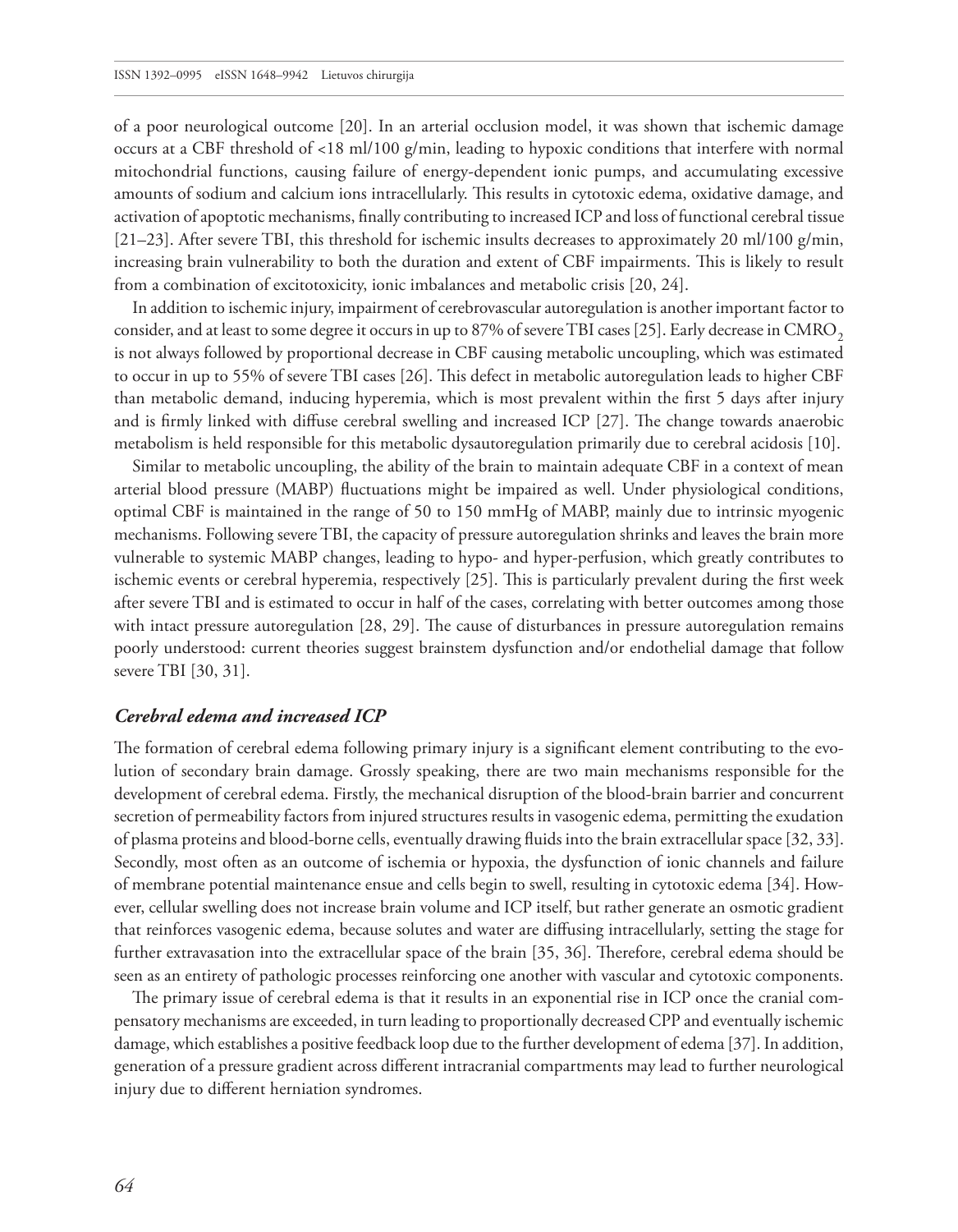of a poor neurological outcome [20]. In an arterial occlusion model, it was shown that ischemic damage occurs at a CBF threshold of <18 ml/100 g/min, leading to hypoxic conditions that interfere with normal mitochondrial functions, causing failure of energy-dependent ionic pumps, and accumulating excessive amounts of sodium and calcium ions intracellularly. This results in cytotoxic edema, oxidative damage, and activation of apoptotic mechanisms, finally contributing to increased ICP and loss of functional cerebral tissue  $[21–23]$ . After severe TBI, this threshold for ischemic insults decreases to approximately 20 ml/100 g/min, increasing brain vulnerability to both the duration and extent of CBF impairments. This is likely to result from a combination of excitotoxicity, ionic imbalances and metabolic crisis [20, 24].

In addition to ischemic injury, impairment of cerebrovascular autoregulation is another important factor to consider, and at least to some degree it occurs in up to 87% of severe TBI cases [25]. Early decrease in CMRO<sub>2</sub> is not always followed by proportional decrease in CBF causing metabolic uncoupling, which was estimated to occur in up to 55% of severe TBI cases [26]. This defect in metabolic autoregulation leads to higher CBF than metabolic demand, inducing hyperemia, which is most prevalent within the first 5 days after injury and is firmly linked with diffuse cerebral swelling and increased ICP [27]. The change towards anaerobic metabolism is held responsible for this metabolic dysautoregulation primarily due to cerebral acidosis [10].

Similar to metabolic uncoupling, the ability of the brain to maintain adequate CBF in a context of mean arterial blood pressure (MABP) fluctuations might be impaired as well. Under physiological conditions, optimal CBF is maintained in the range of 50 to 150 mmHg of MABP, mainly due to intrinsic myogenic mechanisms. Following severe TBI, the capacity of pressure autoregulation shrinks and leaves the brain more vulnerable to systemic MABP changes, leading to hypo- and hyper-perfusion, which greatly contributes to ischemic events or cerebral hyperemia, respectively [25]. This is particularly prevalent during the first week after severe TBI and is estimated to occur in half of the cases, correlating with better outcomes among those with intact pressure autoregulation [28, 29]. The cause of disturbances in pressure autoregulation remains poorly understood: current theories suggest brainstem dysfunction and/or endothelial damage that follow severe TBI [30, 31].

#### *Cerebral edema and increased ICP*

The formation of cerebral edema following primary injury is a significant element contributing to the evolution of secondary brain damage. Grossly speaking, there are two main mechanisms responsible for the development of cerebral edema. Firstly, the mechanical disruption of the blood-brain barrier and concurrent secretion of permeability factors from injured structures results in vasogenic edema, permitting the exudation of plasma proteins and blood-borne cells, eventually drawing fluids into the brain extracellular space [32, 33]. Secondly, most often as an outcome of ischemia or hypoxia, the dysfunction of ionic channels and failure of membrane potential maintenance ensue and cells begin to swell, resulting in cytotoxic edema [34]. However, cellular swelling does not increase brain volume and ICP itself, but rather generate an osmotic gradient that reinforces vasogenic edema, because solutes and water are diffusing intracellularly, setting the stage for further extravasation into the extracellular space of the brain [35, 36]. Therefore, cerebral edema should be seen as an entirety of pathologic processes reinforcing one another with vascular and cytotoxic components.

The primary issue of cerebral edema is that it results in an exponential rise in ICP once the cranial compensatory mechanisms are exceeded, in turn leading to proportionally decreased CPP and eventually ischemic damage, which establishes a positive feedback loop due to the further development of edema [37]. In addition, generation of a pressure gradient across different intracranial compartments may lead to further neurological injury due to different herniation syndromes.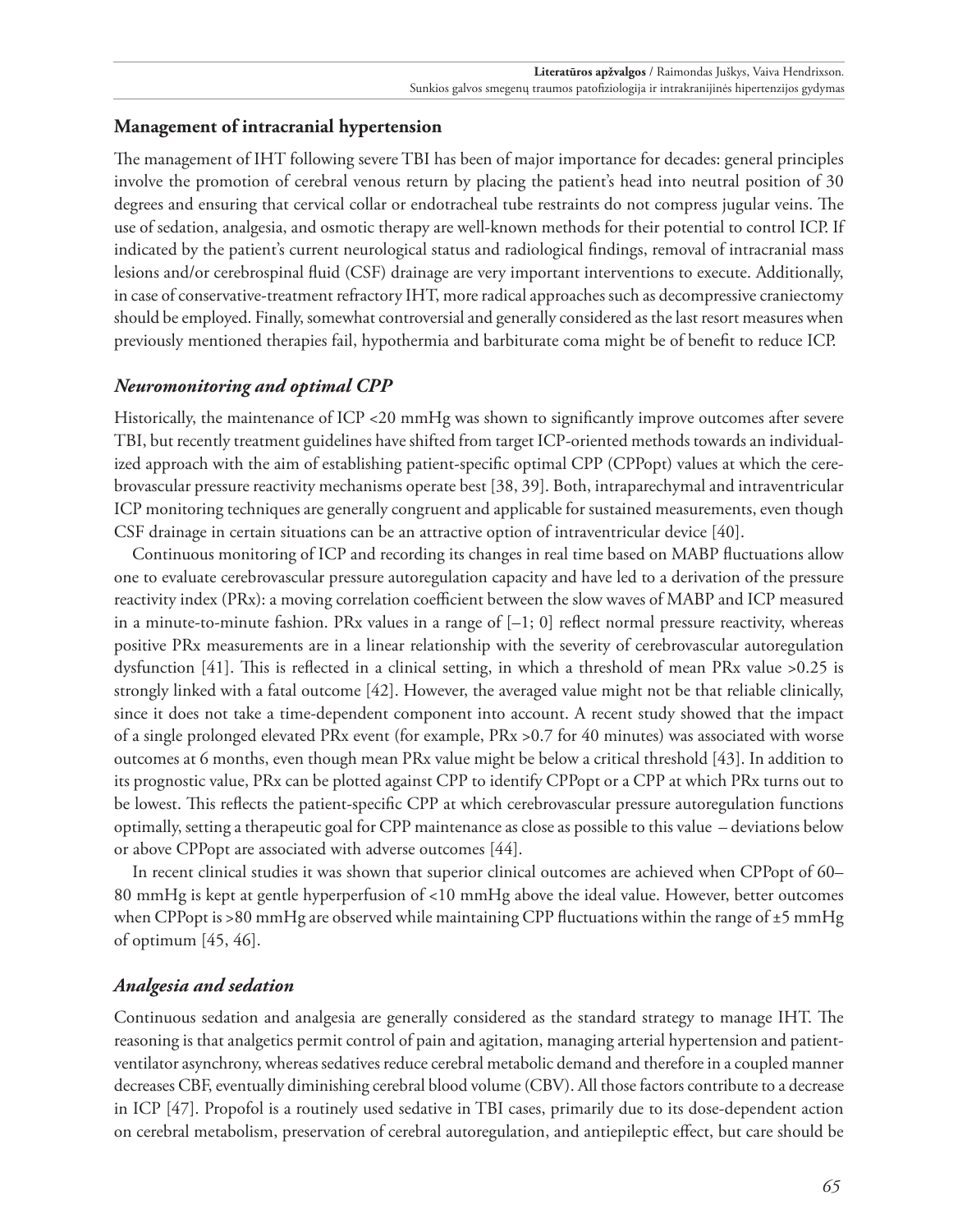# **Management of intracranial hypertension**

The management of IHT following severe TBI has been of major importance for decades: general principles involve the promotion of cerebral venous return by placing the patient's head into neutral position of 30 degrees and ensuring that cervical collar or endotracheal tube restraints do not compress jugular veins. The use of sedation, analgesia, and osmotic therapy are well-known methods for their potential to control ICP. If indicated by the patient's current neurological status and radiological findings, removal of intracranial mass lesions and/or cerebrospinal fluid (CSF) drainage are very important interventions to execute. Additionally, in case of conservative-treatment refractory IHT, more radical approaches such as decompressive craniectomy should be employed. Finally, somewhat controversial and generally considered as the last resort measures when previously mentioned therapies fail, hypothermia and barbiturate coma might be of benefit to reduce ICP.

## *Neuromonitoring and optimal CPP*

Historically, the maintenance of ICP <20 mmHg was shown to significantly improve outcomes after severe TBI, but recently treatment guidelines have shifted from target ICP-oriented methods towards an individualized approach with the aim of establishing patient-specific optimal CPP (CPPopt) values at which the cerebrovascular pressure reactivity mechanisms operate best [38, 39]. Both, intraparechymal and intraventricular ICP monitoring techniques are generally congruent and applicable for sustained measurements, even though CSF drainage in certain situations can be an attractive option of intraventricular device [40].

Continuous monitoring of ICP and recording its changes in real time based on MABP fluctuations allow one to evaluate cerebrovascular pressure autoregulation capacity and have led to a derivation of the pressure reactivity index (PRx): a moving correlation coefficient between the slow waves of MABP and ICP measured in a minute-to-minute fashion. PRx values in a range of  $[-1, 0]$  reflect normal pressure reactivity, whereas positive PRx measurements are in a linear relationship with the severity of cerebrovascular autoregulation dysfunction [41]. This is reflected in a clinical setting, in which a threshold of mean PRx value >0.25 is strongly linked with a fatal outcome [42]. However, the averaged value might not be that reliable clinically, since it does not take a time-dependent component into account. A recent study showed that the impact of a single prolonged elevated PRx event (for example, PRx >0.7 for 40 minutes) was associated with worse outcomes at 6 months, even though mean PRx value might be below a critical threshold [43]. In addition to its prognostic value, PRx can be plotted against CPP to identify CPPopt or a CPP at which PRx turns out to be lowest. This reflects the patient-specific CPP at which cerebrovascular pressure autoregulation functions optimally, setting a therapeutic goal for CPP maintenance as close as possible to this value – deviations below or above CPPopt are associated with adverse outcomes [44].

In recent clinical studies it was shown that superior clinical outcomes are achieved when CPPopt of 60– 80 mmHg is kept at gentle hyperperfusion of <10 mmHg above the ideal value. However, better outcomes when CPPopt is >80 mmHg are observed while maintaining CPP fluctuations within the range of ±5 mmHg of optimum [45, 46].

### *Analgesia and sedation*

Continuous sedation and analgesia are generally considered as the standard strategy to manage IHT. The reasoning is that analgetics permit control of pain and agitation, managing arterial hypertension and patientventilator asynchrony, whereas sedatives reduce cerebral metabolic demand and therefore in a coupled manner decreases CBF, eventually diminishing cerebral blood volume (CBV). All those factors contribute to a decrease in ICP [47]. Propofol is a routinely used sedative in TBI cases, primarily due to its dose-dependent action on cerebral metabolism, preservation of cerebral autoregulation, and antiepileptic effect, but care should be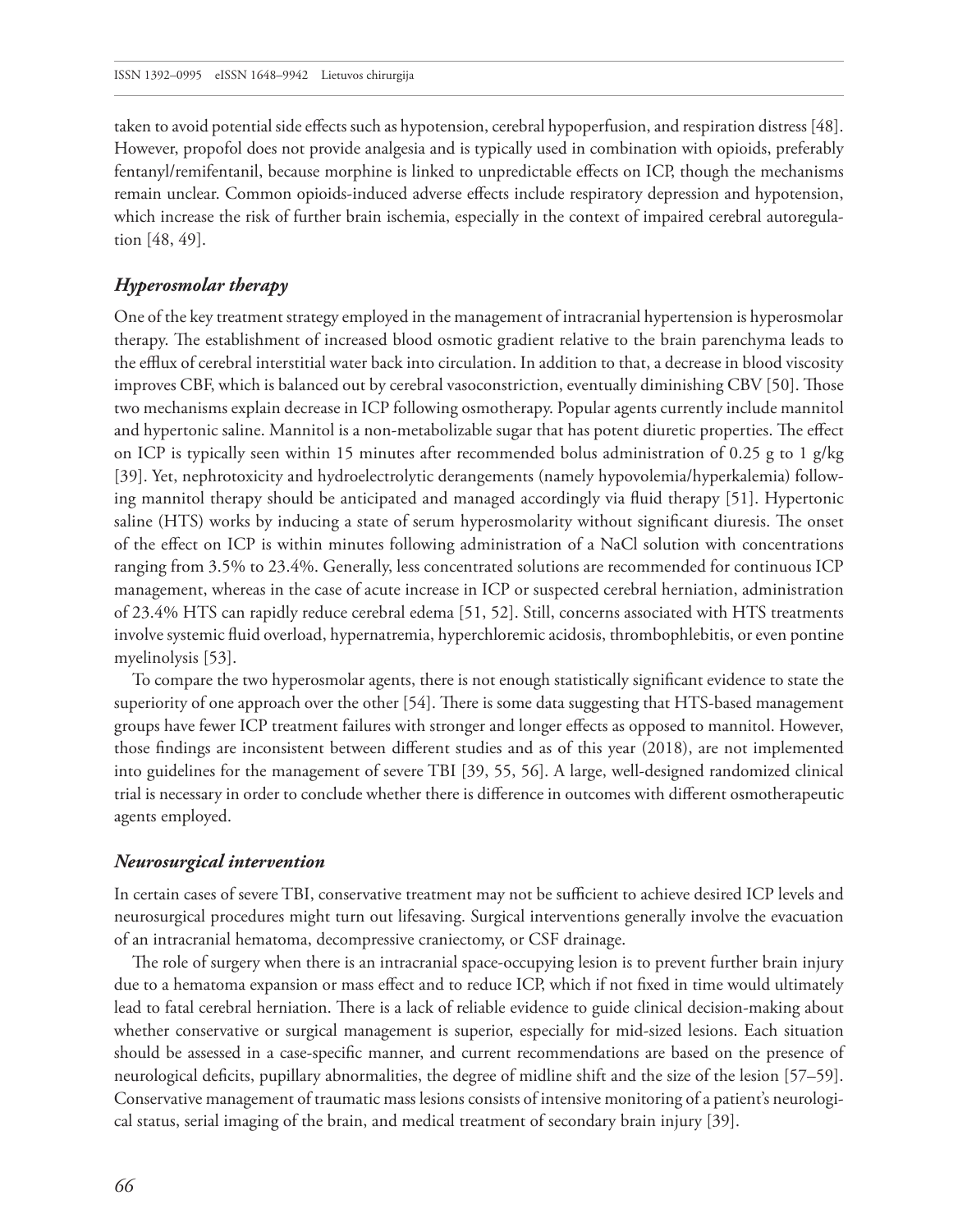taken to avoid potential side effects such as hypotension, cerebral hypoperfusion, and respiration distress [48]. However, propofol does not provide analgesia and is typically used in combination with opioids, preferably fentanyl/remifentanil, because morphine is linked to unpredictable effects on ICP, though the mechanisms remain unclear. Common opioids-induced adverse effects include respiratory depression and hypotension, which increase the risk of further brain ischemia, especially in the context of impaired cerebral autoregulation [48, 49].

#### *Hyperosmolar therapy*

One of the key treatment strategy employed in the management of intracranial hypertension is hyperosmolar therapy. The establishment of increased blood osmotic gradient relative to the brain parenchyma leads to the efflux of cerebral interstitial water back into circulation. In addition to that, a decrease in blood viscosity improves CBF, which is balanced out by cerebral vasoconstriction, eventually diminishing CBV [50]. Those two mechanisms explain decrease in ICP following osmotherapy. Popular agents currently include mannitol and hypertonic saline. Mannitol is a non-metabolizable sugar that has potent diuretic properties. The effect on ICP is typically seen within 15 minutes after recommended bolus administration of 0.25 g to 1 g/kg [39]. Yet, nephrotoxicity and hydroelectrolytic derangements (namely hypovolemia/hyperkalemia) following mannitol therapy should be anticipated and managed accordingly via fluid therapy [51]. Hypertonic saline (HTS) works by inducing a state of serum hyperosmolarity without significant diuresis. The onset of the effect on ICP is within minutes following administration of a NaCl solution with concentrations ranging from 3.5% to 23.4%. Generally, less concentrated solutions are recommended for continuous ICP management, whereas in the case of acute increase in ICP or suspected cerebral herniation, administration of 23.4% HTS can rapidly reduce cerebral edema [51, 52]. Still, concerns associated with HTS treatments involve systemic fluid overload, hypernatremia, hyperchloremic acidosis, thrombophlebitis, or even pontine myelinolysis [53].

To compare the two hyperosmolar agents, there is not enough statistically significant evidence to state the superiority of one approach over the other [54]. There is some data suggesting that HTS-based management groups have fewer ICP treatment failures with stronger and longer effects as opposed to mannitol. However, those findings are inconsistent between different studies and as of this year (2018), are not implemented into guidelines for the management of severe TBI [39, 55, 56]. A large, well-designed randomized clinical trial is necessary in order to conclude whether there is difference in outcomes with different osmotherapeutic agents employed.

#### *Neurosurgical intervention*

In certain cases of severe TBI, conservative treatment may not be sufficient to achieve desired ICP levels and neurosurgical procedures might turn out lifesaving. Surgical interventions generally involve the evacuation of an intracranial hematoma, decompressive craniectomy, or CSF drainage.

The role of surgery when there is an intracranial space-occupying lesion is to prevent further brain injury due to a hematoma expansion or mass effect and to reduce ICP, which if not fixed in time would ultimately lead to fatal cerebral herniation. There is a lack of reliable evidence to guide clinical decision-making about whether conservative or surgical management is superior, especially for mid-sized lesions. Each situation should be assessed in a case-specific manner, and current recommendations are based on the presence of neurological deficits, pupillary abnormalities, the degree of midline shift and the size of the lesion [57–59]. Conservative management of traumatic mass lesions consists of intensive monitoring of a patient's neurological status, serial imaging of the brain, and medical treatment of secondary brain injury [39].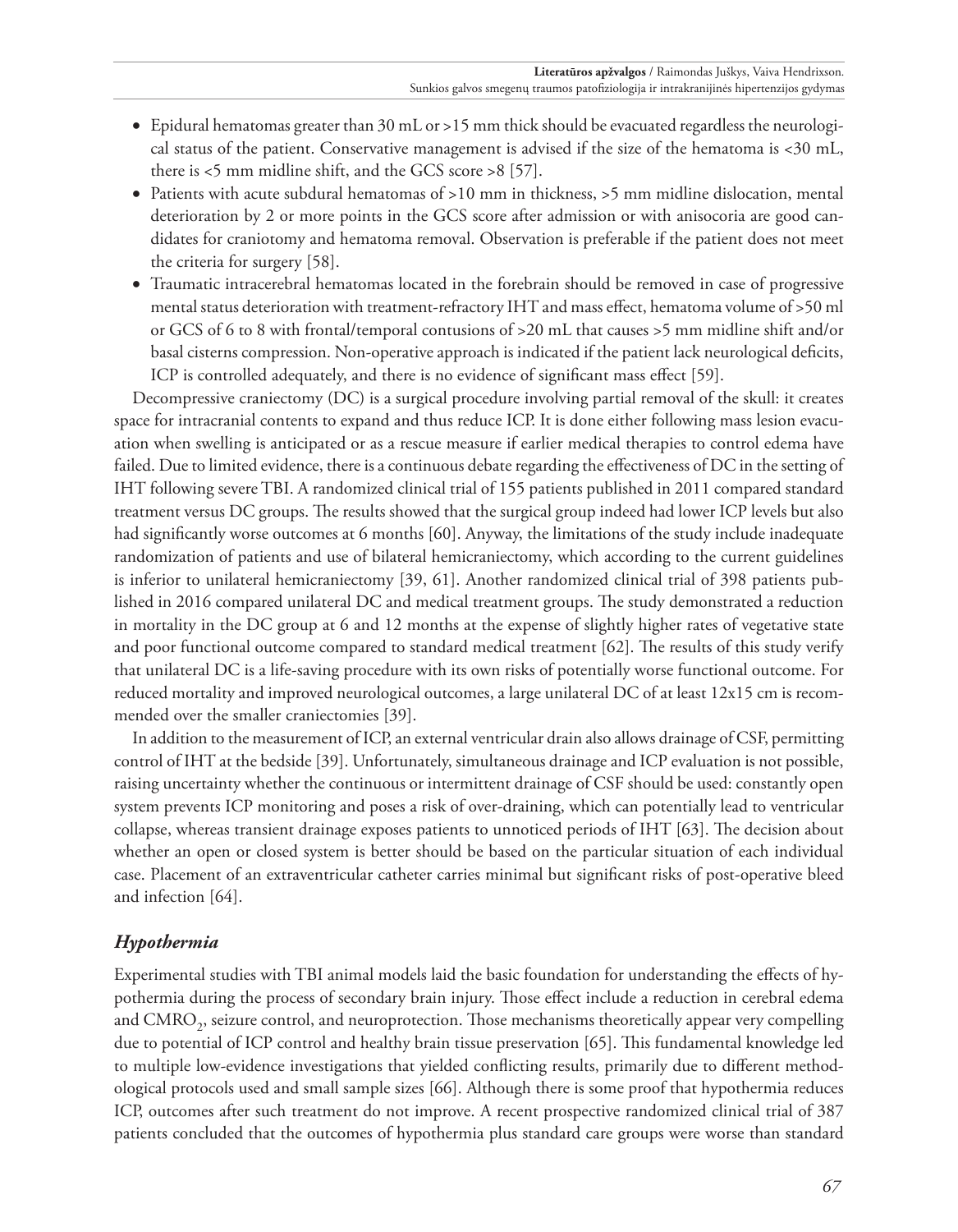- • Epidural hematomas greater than 30 mL or >15 mm thick should be evacuated regardless the neurological status of the patient. Conservative management is advised if the size of the hematoma is <30 mL, there is <5 mm midline shift, and the GCS score >8 [57].
- Patients with acute subdural hematomas of >10 mm in thickness, >5 mm midline dislocation, mental deterioration by 2 or more points in the GCS score after admission or with anisocoria are good candidates for craniotomy and hematoma removal. Observation is preferable if the patient does not meet the criteria for surgery [58].
- • Traumatic intracerebral hematomas located in the forebrain should be removed in case of progressive mental status deterioration with treatment-refractory IHT and mass effect, hematoma volume of >50 ml or GCS of 6 to 8 with frontal/temporal contusions of >20 mL that causes >5 mm midline shift and/or basal cisterns compression. Non-operative approach is indicated if the patient lack neurological deficits, ICP is controlled adequately, and there is no evidence of significant mass effect [59].

Decompressive craniectomy (DC) is a surgical procedure involving partial removal of the skull: it creates space for intracranial contents to expand and thus reduce ICP. It is done either following mass lesion evacuation when swelling is anticipated or as a rescue measure if earlier medical therapies to control edema have failed. Due to limited evidence, there is a continuous debate regarding the effectiveness of DC in the setting of IHT following severe TBI. A randomized clinical trial of 155 patients published in 2011 compared standard treatment versus DC groups. The results showed that the surgical group indeed had lower ICP levels but also had significantly worse outcomes at 6 months [60]. Anyway, the limitations of the study include inadequate randomization of patients and use of bilateral hemicraniectomy, which according to the current guidelines is inferior to unilateral hemicraniectomy [39, 61]. Another randomized clinical trial of 398 patients published in 2016 compared unilateral DC and medical treatment groups. The study demonstrated a reduction in mortality in the DC group at 6 and 12 months at the expense of slightly higher rates of vegetative state and poor functional outcome compared to standard medical treatment [62]. The results of this study verify that unilateral DC is a life-saving procedure with its own risks of potentially worse functional outcome. For reduced mortality and improved neurological outcomes, a large unilateral DC of at least 12x15 cm is recommended over the smaller craniectomies [39].

In addition to the measurement of ICP, an external ventricular drain also allows drainage of CSF, permitting control of IHT at the bedside [39]. Unfortunately, simultaneous drainage and ICP evaluation is not possible, raising uncertainty whether the continuous or intermittent drainage of CSF should be used: constantly open system prevents ICP monitoring and poses a risk of over-draining, which can potentially lead to ventricular collapse, whereas transient drainage exposes patients to unnoticed periods of IHT [63]. The decision about whether an open or closed system is better should be based on the particular situation of each individual case. Placement of an extraventricular catheter carries minimal but significant risks of post-operative bleed and infection [64].

# *Hypothermia*

Experimental studies with TBI animal models laid the basic foundation for understanding the effects of hypothermia during the process of secondary brain injury. Those effect include a reduction in cerebral edema and CMRO<sub>2</sub>, seizure control, and neuroprotection. Those mechanisms theoretically appear very compelling due to potential of ICP control and healthy brain tissue preservation [65]. This fundamental knowledge led to multiple low-evidence investigations that yielded conflicting results, primarily due to different methodological protocols used and small sample sizes [66]. Although there is some proof that hypothermia reduces ICP, outcomes after such treatment do not improve. A recent prospective randomized clinical trial of 387 patients concluded that the outcomes of hypothermia plus standard care groups were worse than standard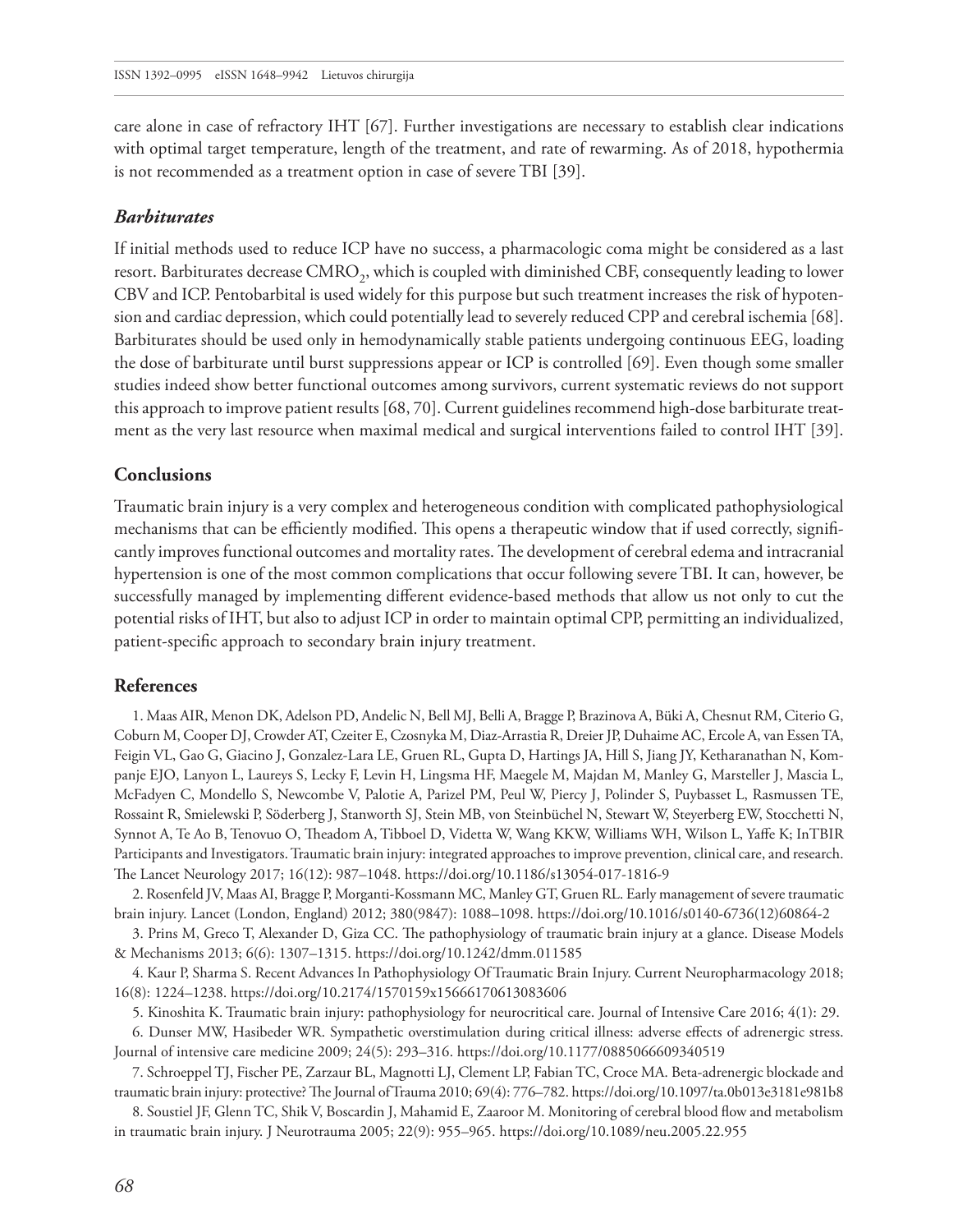care alone in case of refractory IHT [67]. Further investigations are necessary to establish clear indications with optimal target temperature, length of the treatment, and rate of rewarming. As of 2018, hypothermia is not recommended as a treatment option in case of severe TBI [39].

### *Barbiturates*

If initial methods used to reduce ICP have no success, a pharmacologic coma might be considered as a last resort. Barbiturates decrease CMRO<sub>2</sub>, which is coupled with diminished CBF, consequently leading to lower CBV and ICP. Pentobarbital is used widely for this purpose but such treatment increases the risk of hypotension and cardiac depression, which could potentially lead to severely reduced CPP and cerebral ischemia [68]. Barbiturates should be used only in hemodynamically stable patients undergoing continuous EEG, loading the dose of barbiturate until burst suppressions appear or ICP is controlled [69]. Even though some smaller studies indeed show better functional outcomes among survivors, current systematic reviews do not support this approach to improve patient results [68, 70]. Current guidelines recommend high-dose barbiturate treatment as the very last resource when maximal medical and surgical interventions failed to control IHT [39].

#### **Conclusions**

Traumatic brain injury is a very complex and heterogeneous condition with complicated pathophysiological mechanisms that can be efficiently modified. This opens a therapeutic window that if used correctly, significantly improves functional outcomes and mortality rates. The development of cerebral edema and intracranial hypertension is one of the most common complications that occur following severe TBI. It can, however, be successfully managed by implementing different evidence-based methods that allow us not only to cut the potential risks of IHT, but also to adjust ICP in order to maintain optimal CPP, permitting an individualized, patient-specific approach to secondary brain injury treatment.

#### **References**

1. Maas AIR, Menon DK, Adelson PD, Andelic N, Bell MJ, Belli A, [Bragge](https://www.ncbi.nlm.nih.gov/pubmed/?term=Bragge%20P%5BAuthor%5D&cauthor=true&cauthor_uid=29122524) P, [Brazinova](https://www.ncbi.nlm.nih.gov/pubmed/?term=Brazinova%20A%5BAuthor%5D&cauthor=true&cauthor_uid=29122524) A, [Büki](https://www.ncbi.nlm.nih.gov/pubmed/?term=B%C3%BCki%20A%5BAuthor%5D&cauthor=true&cauthor_uid=29122524) A, [Chesnut](https://www.ncbi.nlm.nih.gov/pubmed/?term=Chesnut%20RM%5BAuthor%5D&cauthor=true&cauthor_uid=29122524) RM, [Citerio](https://www.ncbi.nlm.nih.gov/pubmed/?term=Citerio%20G%5BAuthor%5D&cauthor=true&cauthor_uid=29122524) G, [Coburn](https://www.ncbi.nlm.nih.gov/pubmed/?term=Coburn%20M%5BAuthor%5D&cauthor=true&cauthor_uid=29122524) M, [Cooper](https://www.ncbi.nlm.nih.gov/pubmed/?term=Cooper%20DJ%5BAuthor%5D&cauthor=true&cauthor_uid=29122524) DJ, [Crowder](https://www.ncbi.nlm.nih.gov/pubmed/?term=Crowder%20AT%5BAuthor%5D&cauthor=true&cauthor_uid=29122524) AT, [Czeiter](https://www.ncbi.nlm.nih.gov/pubmed/?term=Czeiter%20E%5BAuthor%5D&cauthor=true&cauthor_uid=29122524) E, [Czosnyka](https://www.ncbi.nlm.nih.gov/pubmed/?term=Czosnyka%20M%5BAuthor%5D&cauthor=true&cauthor_uid=29122524) M, [Diaz-Arrastia](https://www.ncbi.nlm.nih.gov/pubmed/?term=Diaz-Arrastia%20R%5BAuthor%5D&cauthor=true&cauthor_uid=29122524) R, [Dreier](https://www.ncbi.nlm.nih.gov/pubmed/?term=Dreier%20JP%5BAuthor%5D&cauthor=true&cauthor_uid=29122524) JP, [Duhaime](https://www.ncbi.nlm.nih.gov/pubmed/?term=Duhaime%20AC%5BAuthor%5D&cauthor=true&cauthor_uid=29122524) AC, [Ercole](https://www.ncbi.nlm.nih.gov/pubmed/?term=Ercole%20A%5BAuthor%5D&cauthor=true&cauthor_uid=29122524) A, [van EssenTA](https://www.ncbi.nlm.nih.gov/pubmed/?term=van%20Essen%20TA%5BAuthor%5D&cauthor=true&cauthor_uid=29122524), [Feigin](https://www.ncbi.nlm.nih.gov/pubmed/?term=Feigin%20VL%5BAuthor%5D&cauthor=true&cauthor_uid=29122524) VL, [Gao](https://www.ncbi.nlm.nih.gov/pubmed/?term=Gao%20G%5BAuthor%5D&cauthor=true&cauthor_uid=29122524) G, [Giacino](https://www.ncbi.nlm.nih.gov/pubmed/?term=Giacino%20J%5BAuthor%5D&cauthor=true&cauthor_uid=29122524) J, [Gonzalez-Lara](https://www.ncbi.nlm.nih.gov/pubmed/?term=Gonzalez-Lara%20LE%5BAuthor%5D&cauthor=true&cauthor_uid=29122524) LE, [Gruen](https://www.ncbi.nlm.nih.gov/pubmed/?term=Gruen%20RL%5BAuthor%5D&cauthor=true&cauthor_uid=29122524) RL, [Gupta](https://www.ncbi.nlm.nih.gov/pubmed/?term=Gupta%20D%5BAuthor%5D&cauthor=true&cauthor_uid=29122524) D, [Hartings](https://www.ncbi.nlm.nih.gov/pubmed/?term=Hartings%20JA%5BAuthor%5D&cauthor=true&cauthor_uid=29122524) JA, [Hill](https://www.ncbi.nlm.nih.gov/pubmed/?term=Hill%20S%5BAuthor%5D&cauthor=true&cauthor_uid=29122524) S, [Jiang](https://www.ncbi.nlm.nih.gov/pubmed/?term=Jiang%20JY%5BAuthor%5D&cauthor=true&cauthor_uid=29122524) JY, [Ketharanathan](https://www.ncbi.nlm.nih.gov/pubmed/?term=Ketharanathan%20N%5BAuthor%5D&cauthor=true&cauthor_uid=29122524) N, [Kom](https://www.ncbi.nlm.nih.gov/pubmed/?term=Kompanje%20EJO%5BAuthor%5D&cauthor=true&cauthor_uid=29122524)[panje](https://www.ncbi.nlm.nih.gov/pubmed/?term=Kompanje%20EJO%5BAuthor%5D&cauthor=true&cauthor_uid=29122524) EJO, [Lanyon](https://www.ncbi.nlm.nih.gov/pubmed/?term=Lanyon%20L%5BAuthor%5D&cauthor=true&cauthor_uid=29122524) L, [Laureys](https://www.ncbi.nlm.nih.gov/pubmed/?term=Laureys%20S%5BAuthor%5D&cauthor=true&cauthor_uid=29122524) S, [Lecky](https://www.ncbi.nlm.nih.gov/pubmed/?term=Lecky%20F%5BAuthor%5D&cauthor=true&cauthor_uid=29122524) F, [Levin](https://www.ncbi.nlm.nih.gov/pubmed/?term=Levin%20H%5BAuthor%5D&cauthor=true&cauthor_uid=29122524) H, [Lingsma](https://www.ncbi.nlm.nih.gov/pubmed/?term=Lingsma%20HF%5BAuthor%5D&cauthor=true&cauthor_uid=29122524) HF, [Maegele](https://www.ncbi.nlm.nih.gov/pubmed/?term=Maegele%20M%5BAuthor%5D&cauthor=true&cauthor_uid=29122524) M, [Majdan](https://www.ncbi.nlm.nih.gov/pubmed/?term=Majdan%20M%5BAuthor%5D&cauthor=true&cauthor_uid=29122524) M, [Manley](https://www.ncbi.nlm.nih.gov/pubmed/?term=Manley%20G%5BAuthor%5D&cauthor=true&cauthor_uid=29122524) G, [Marsteller](https://www.ncbi.nlm.nih.gov/pubmed/?term=Marsteller%20J%5BAuthor%5D&cauthor=true&cauthor_uid=29122524) J, [Mascia](https://www.ncbi.nlm.nih.gov/pubmed/?term=Mascia%20L%5BAuthor%5D&cauthor=true&cauthor_uid=29122524) L, [McFadyen](https://www.ncbi.nlm.nih.gov/pubmed/?term=McFadyen%20C%5BAuthor%5D&cauthor=true&cauthor_uid=29122524) C, [Mondello](https://www.ncbi.nlm.nih.gov/pubmed/?term=Mondello%20S%5BAuthor%5D&cauthor=true&cauthor_uid=29122524) S, [Newcombe](https://www.ncbi.nlm.nih.gov/pubmed/?term=Newcombe%20V%5BAuthor%5D&cauthor=true&cauthor_uid=29122524) V, [Palotie](https://www.ncbi.nlm.nih.gov/pubmed/?term=Palotie%20A%5BAuthor%5D&cauthor=true&cauthor_uid=29122524) A, [Parizel](https://www.ncbi.nlm.nih.gov/pubmed/?term=Parizel%20PM%5BAuthor%5D&cauthor=true&cauthor_uid=29122524) PM, [Peul](https://www.ncbi.nlm.nih.gov/pubmed/?term=Peul%20W%5BAuthor%5D&cauthor=true&cauthor_uid=29122524) W, [Piercy](https://www.ncbi.nlm.nih.gov/pubmed/?term=Piercy%20J%5BAuthor%5D&cauthor=true&cauthor_uid=29122524) J, [Polinder](https://www.ncbi.nlm.nih.gov/pubmed/?term=Polinder%20S%5BAuthor%5D&cauthor=true&cauthor_uid=29122524) S, [Puybasset](https://www.ncbi.nlm.nih.gov/pubmed/?term=Puybasset%20L%5BAuthor%5D&cauthor=true&cauthor_uid=29122524) L, [Rasmussen](https://www.ncbi.nlm.nih.gov/pubmed/?term=Rasmussen%20TE%5BAuthor%5D&cauthor=true&cauthor_uid=29122524) TE, [Rossaint](https://www.ncbi.nlm.nih.gov/pubmed/?term=Rossaint%20R%5BAuthor%5D&cauthor=true&cauthor_uid=29122524) R, [Smielewski](https://www.ncbi.nlm.nih.gov/pubmed/?term=Smielewski%20P%5BAuthor%5D&cauthor=true&cauthor_uid=29122524) P, [Söderberg](https://www.ncbi.nlm.nih.gov/pubmed/?term=S%C3%B6derberg%20J%5BAuthor%5D&cauthor=true&cauthor_uid=29122524) J, [Stanworth](https://www.ncbi.nlm.nih.gov/pubmed/?term=Stanworth%20SJ%5BAuthor%5D&cauthor=true&cauthor_uid=29122524) SJ, [Stein](https://www.ncbi.nlm.nih.gov/pubmed/?term=Stein%20MB%5BAuthor%5D&cauthor=true&cauthor_uid=29122524) MB, [von Steinbüchel](https://www.ncbi.nlm.nih.gov/pubmed/?term=von%20Steinb%C3%BCchel%20N%5BAuthor%5D&cauthor=true&cauthor_uid=29122524) N, [Stewart](https://www.ncbi.nlm.nih.gov/pubmed/?term=Stewart%20W%5BAuthor%5D&cauthor=true&cauthor_uid=29122524) W, [Steyerberg](https://www.ncbi.nlm.nih.gov/pubmed/?term=Steyerberg%20EW%5BAuthor%5D&cauthor=true&cauthor_uid=29122524) EW, [Stocchetti](https://www.ncbi.nlm.nih.gov/pubmed/?term=Stocchetti%20N%5BAuthor%5D&cauthor=true&cauthor_uid=29122524) N, [Synnot](https://www.ncbi.nlm.nih.gov/pubmed/?term=Synnot%20A%5BAuthor%5D&cauthor=true&cauthor_uid=29122524) A, [Te Ao](https://www.ncbi.nlm.nih.gov/pubmed/?term=Te%20Ao%20B%5BAuthor%5D&cauthor=true&cauthor_uid=29122524) B, [Tenovuo](https://www.ncbi.nlm.nih.gov/pubmed/?term=Tenovuo%20O%5BAuthor%5D&cauthor=true&cauthor_uid=29122524) O, [Theadom](https://www.ncbi.nlm.nih.gov/pubmed/?term=Theadom%20A%5BAuthor%5D&cauthor=true&cauthor_uid=29122524) A, [Tibboel](https://www.ncbi.nlm.nih.gov/pubmed/?term=Tibboel%20D%5BAuthor%5D&cauthor=true&cauthor_uid=29122524) D, [Videtta](https://www.ncbi.nlm.nih.gov/pubmed/?term=Videtta%20W%5BAuthor%5D&cauthor=true&cauthor_uid=29122524) W, Wang [KKW,](https://www.ncbi.nlm.nih.gov/pubmed/?term=Wang%20KKW%5BAuthor%5D&cauthor=true&cauthor_uid=29122524) [Williams](https://www.ncbi.nlm.nih.gov/pubmed/?term=Williams%20WH%5BAuthor%5D&cauthor=true&cauthor_uid=29122524) WH, [Wilson](https://www.ncbi.nlm.nih.gov/pubmed/?term=Wilson%20L%5BAuthor%5D&cauthor=true&cauthor_uid=29122524) L, [Yaffe](https://www.ncbi.nlm.nih.gov/pubmed/?term=Yaffe%20K%5BAuthor%5D&cauthor=true&cauthor_uid=29122524) K; [InTBIR](https://www.ncbi.nlm.nih.gov/pubmed/?term=InTBIR%20Participants%20and%20Investigators%5BCorporate%20Author%5D) [Participants and Investigators.](https://www.ncbi.nlm.nih.gov/pubmed/?term=InTBIR%20Participants%20and%20Investigators%5BCorporate%20Author%5D) Traumatic brain injury: integrated approaches to improve prevention, clinical care, and research. The Lancet Neurology 2017; 16(12): 987–1048. <https://doi.org/10.1186/s13054-017-1816-9>

2. Rosenfeld JV, Maas AI, Bragge P, Morganti-Kossmann MC, Manley GT, Gruen RL. Early management of severe traumatic brain injury. Lancet (London, England) 2012; 380(9847): 1088–1098. [https://doi.org/10.1016/s0140-6736\(12\)60864-2](https://doi.org/10.1016/s0140-6736(12)60864-2)

3. Prins M, Greco T, Alexander D, Giza CC. The pathophysiology of traumatic brain injury at a glance. Disease Models & Mechanisms 2013; 6(6): 1307–1315. <https://doi.org/10.1242/dmm.011585>

4. Kaur P, Sharma S. Recent Advances In Pathophysiology Of Traumatic Brain Injury. Current Neuropharmacology 2018; 16(8): 1224–1238.<https://doi.org/10.2174/1570159x15666170613083606>

5. Kinoshita K. Traumatic brain injury: pathophysiology for neurocritical care. Journal of Intensive Care 2016; 4(1): 29.

6. Dunser MW, Hasibeder WR. Sympathetic overstimulation during critical illness: adverse effects of adrenergic stress. Journal of intensive care medicine 2009; 24(5): 293–316.<https://doi.org/10.1177/0885066609340519>

7. Schroeppel TJ, Fischer PE, Zarzaur BL, Magnotti LJ, Clement LP, Fabian TC, Croce MA. Beta-adrenergic blockade and traumatic brain injury: protective? The Journal of Trauma 2010; 69(4): 776–782.<https://doi.org/10.1097/ta.0b013e3181e981b8>

8. Soustiel JF, Glenn TC, Shik V, Boscardin J, Mahamid E, Zaaroor M. Monitoring of cerebral blood flow and metabolism in traumatic brain injury. J Neurotrauma 2005; 22(9): 955–965.<https://doi.org/10.1089/neu.2005.22.955>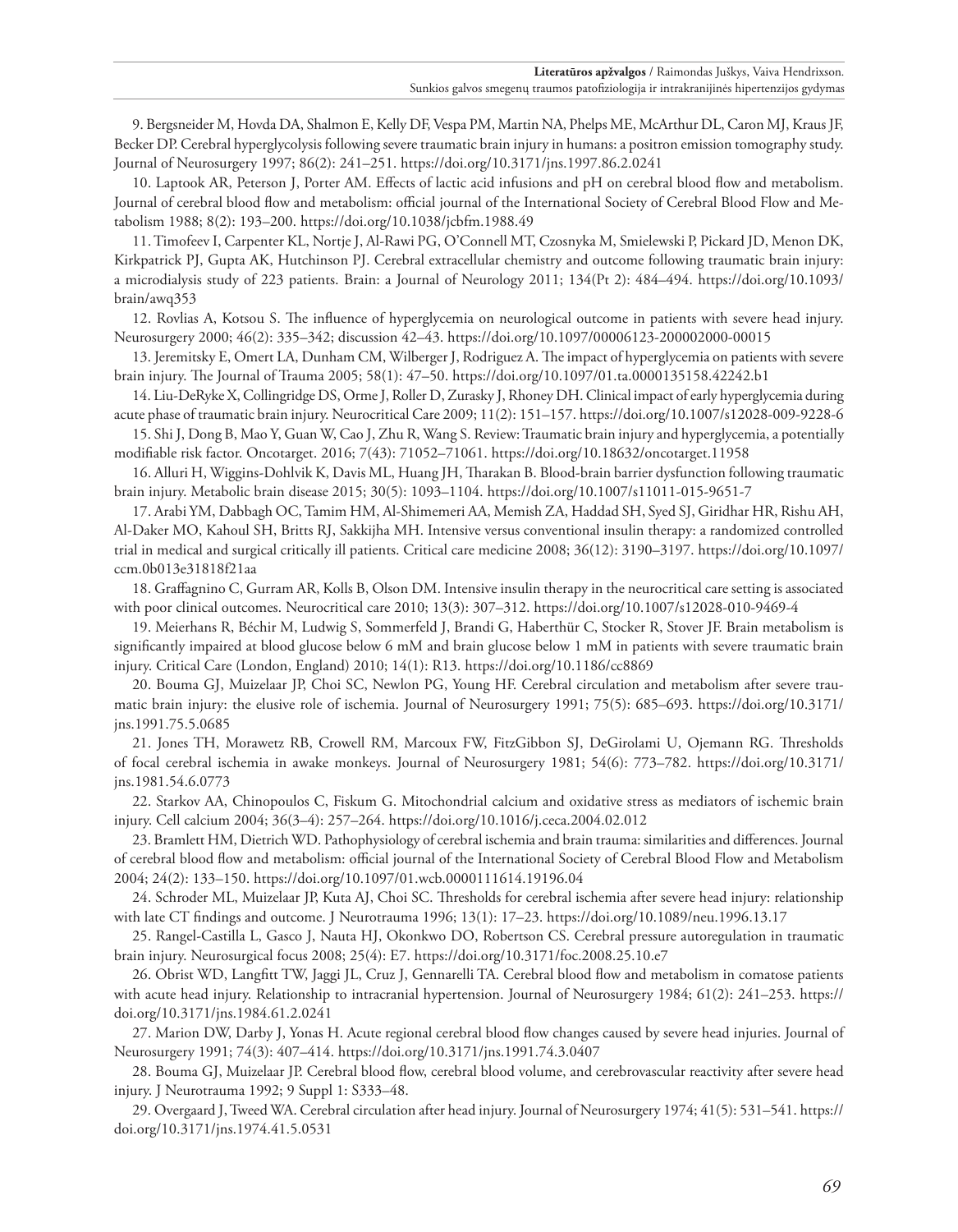9. Bergsneider M, Hovda DA, Shalmon E, Kelly DF, Vespa PM, Martin NA, [Phelps](https://www.ncbi.nlm.nih.gov/pubmed/?term=Phelps%20ME%5BAuthor%5D&cauthor=true&cauthor_uid=9010426) ME, [McArthur](https://www.ncbi.nlm.nih.gov/pubmed/?term=McArthur%20DL%5BAuthor%5D&cauthor=true&cauthor_uid=9010426) DL, [Caron](https://www.ncbi.nlm.nih.gov/pubmed/?term=Caron%20MJ%5BAuthor%5D&cauthor=true&cauthor_uid=9010426) MJ, [Kraus](https://www.ncbi.nlm.nih.gov/pubmed/?term=Kraus%20JF%5BAuthor%5D&cauthor=true&cauthor_uid=9010426) JF, [Becker](https://www.ncbi.nlm.nih.gov/pubmed/?term=Becker%20DP%5BAuthor%5D&cauthor=true&cauthor_uid=9010426) DP. Cerebral hyperglycolysis following severe traumatic brain injury in humans: a positron emission tomography study. Journal of Neurosurgery 1997; 86(2): 241–251.<https://doi.org/10.3171/jns.1997.86.2.0241>

10. Laptook AR, Peterson J, Porter AM. Effects of lactic acid infusions and pH on cerebral blood flow and metabolism. Journal of cerebral blood flow and metabolism: official journal of the International Society of Cerebral Blood Flow and Metabolism 1988; 8(2): 193–200. <https://doi.org/10.1038/jcbfm.1988.49>

11.Timofeev I, Carpenter KL, Nortje J, Al-Rawi PG, O'Connell MT, Czosnyka M, [Smielewski](https://www.ncbi.nlm.nih.gov/pubmed/?term=Smielewski%20P%5BAuthor%5D&cauthor=true&cauthor_uid=21247930) P, [Pickard](https://www.ncbi.nlm.nih.gov/pubmed/?term=Pickard%20JD%5BAuthor%5D&cauthor=true&cauthor_uid=21247930) JD, [Menon](https://www.ncbi.nlm.nih.gov/pubmed/?term=Menon%20DK%5BAuthor%5D&cauthor=true&cauthor_uid=21247930) DK, [Kirkpatrick](https://www.ncbi.nlm.nih.gov/pubmed/?term=Kirkpatrick%20PJ%5BAuthor%5D&cauthor=true&cauthor_uid=21247930) PJ, [Gupta](https://www.ncbi.nlm.nih.gov/pubmed/?term=Gupta%20AK%5BAuthor%5D&cauthor=true&cauthor_uid=21247930) AK, [Hutchinson](https://www.ncbi.nlm.nih.gov/pubmed/?term=Hutchinson%20PJ%5BAuthor%5D&cauthor=true&cauthor_uid=21247930) PJ. Cerebral extracellular chemistry and outcome following traumatic brain injury: a microdialysis study of 223 patients. Brain: a Journal of Neurology 2011; 134(Pt 2): 484–494. [https://doi.org/10.1093/](https://doi.org/10.1093/brain/awq353) [brain/awq353](https://doi.org/10.1093/brain/awq353)

12. Rovlias A, Kotsou S. The influence of hyperglycemia on neurological outcome in patients with severe head injury. Neurosurgery 2000; 46(2): 335–342; discussion 42–43.<https://doi.org/10.1097/00006123-200002000-00015>

13. Jeremitsky E, Omert LA, Dunham CM, Wilberger J, Rodriguez A. The impact of hyperglycemia on patients with severe brain injury. The Journal of Trauma 2005; 58(1): 47–50.<https://doi.org/10.1097/01.ta.0000135158.42242.b1>

14. Liu-DeRyke X, Collingridge DS, Orme J, Roller D, Zurasky J, Rhoney DH. Clinical impact of early hyperglycemia during acute phase of traumatic brain injury. Neurocritical Care 2009; 11(2): 151–157.<https://doi.org/10.1007/s12028-009-9228-6>

15. Shi J, Dong B, Mao Y, Guan W, Cao J, Zhu R, Wang S. Review: Traumatic brain injury and hyperglycemia, a potentially modifiable risk factor. Oncotarget. 2016; 7(43): 71052–71061.<https://doi.org/10.18632/oncotarget.11958>

16. Alluri H, Wiggins-Dohlvik K, Davis ML, Huang JH, Tharakan B. Blood-brain barrier dysfunction following traumatic brain injury. Metabolic brain disease 2015; 30(5): 1093–1104. <https://doi.org/10.1007/s11011-015-9651-7>

17. Arabi YM, Dabbagh OC, Tamim HM, Al-Shimemeri AA, Memish ZA, Haddad SH, [Syed](https://www.ncbi.nlm.nih.gov/pubmed/?term=Syed%20SJ%5BAuthor%5D&cauthor=true&cauthor_uid=18936702) SJ, [Giridhar](https://www.ncbi.nlm.nih.gov/pubmed/?term=Giridhar%20HR%5BAuthor%5D&cauthor=true&cauthor_uid=18936702) HR, [Rishu](https://www.ncbi.nlm.nih.gov/pubmed/?term=Rishu%20AH%5BAuthor%5D&cauthor=true&cauthor_uid=18936702) AH, [Al-Daker](https://www.ncbi.nlm.nih.gov/pubmed/?term=Al-Daker%20MO%5BAuthor%5D&cauthor=true&cauthor_uid=18936702) MO, [Kahoul](https://www.ncbi.nlm.nih.gov/pubmed/?term=Kahoul%20SH%5BAuthor%5D&cauthor=true&cauthor_uid=18936702) SH, [Britts](https://www.ncbi.nlm.nih.gov/pubmed/?term=Britts%20RJ%5BAuthor%5D&cauthor=true&cauthor_uid=18936702) RJ, [Sakkijha](https://www.ncbi.nlm.nih.gov/pubmed/?term=Sakkijha%20MH%5BAuthor%5D&cauthor=true&cauthor_uid=18936702) MH. Intensive versus conventional insulin therapy: a randomized controlled trial in medical and surgical critically ill patients. Critical care medicine 2008; 36(12): 3190–3197. [https://doi.org/10.1097/](https://doi.org/10.1097/ccm.0b013e31818f21aa) [ccm.0b013e31818f21aa](https://doi.org/10.1097/ccm.0b013e31818f21aa)

18. Graffagnino C, Gurram AR, Kolls B, Olson DM. Intensive insulin therapy in the neurocritical care setting is associated with poor clinical outcomes. Neurocritical care 2010; 13(3): 307–312. <https://doi.org/10.1007/s12028-010-9469-4>

19. Meierhans R, Béchir M, Ludwig S, Sommerfeld J, Brandi G, Haberthür C, Stocker R, Stover JF. Brain metabolism is significantly impaired at blood glucose below 6 mM and brain glucose below 1 mM in patients with severe traumatic brain injury. Critical Care (London, England) 2010; 14(1): R13. <https://doi.org/10.1186/cc8869>

20. Bouma GJ, Muizelaar JP, Choi SC, Newlon PG, Young HF. Cerebral circulation and metabolism after severe traumatic brain injury: the elusive role of ischemia. Journal of Neurosurgery 1991; 75(5): 685–693. [https://doi.org/10.3171/](https://doi.org/10.3171/jns.1991.75.5.0685) [jns.1991.75.5.0685](https://doi.org/10.3171/jns.1991.75.5.0685)

21. Jones TH, Morawetz RB, Crowell RM, Marcoux FW, FitzGibbon SJ, DeGirolami U, Ojemann RG. Thresholds of focal cerebral ischemia in awake monkeys. Journal of Neurosurgery 1981; 54(6): 773–782. [https://doi.org/10.3171/](https://doi.org/10.3171/jns.1981.54.6.0773) [jns.1981.54.6.0773](https://doi.org/10.3171/jns.1981.54.6.0773)

22. Starkov AA, Chinopoulos C, Fiskum G. Mitochondrial calcium and oxidative stress as mediators of ischemic brain injury. Cell calcium 2004; 36(3–4): 257–264. <https://doi.org/10.1016/j.ceca.2004.02.012>

23. Bramlett HM, Dietrich WD. Pathophysiology of cerebral ischemia and brain trauma: similarities and differences. Journal of cerebral blood flow and metabolism: official journal of the International Society of Cerebral Blood Flow and Metabolism 2004; 24(2): 133–150. <https://doi.org/10.1097/01.wcb.0000111614.19196.04>

24. Schroder ML, Muizelaar JP, Kuta AJ, Choi SC. Thresholds for cerebral ischemia after severe head injury: relationship with late CT findings and outcome. J Neurotrauma 1996; 13(1): 17–23. <https://doi.org/10.1089/neu.1996.13.17>

25. Rangel-Castilla L, Gasco J, Nauta HJ, Okonkwo DO, Robertson CS. Cerebral pressure autoregulation in traumatic brain injury. Neurosurgical focus 2008; 25(4): E7. <https://doi.org/10.3171/foc.2008.25.10.e7>

26. Obrist WD, Langfitt TW, Jaggi JL, Cruz J, Gennarelli TA. Cerebral blood flow and metabolism in comatose patients with acute head injury. Relationship to intracranial hypertension. Journal of Neurosurgery 1984; 61(2): 241–253. [https://](https://doi.org/10.3171/jns.1984.61.2.0241) [doi.org/10.3171/jns.1984.61.2.0241](https://doi.org/10.3171/jns.1984.61.2.0241)

27. Marion DW, Darby J, Yonas H. Acute regional cerebral blood flow changes caused by severe head injuries. Journal of Neurosurgery 1991; 74(3): 407–414.<https://doi.org/10.3171/jns.1991.74.3.0407>

28. Bouma GJ, Muizelaar JP. Cerebral blood flow, cerebral blood volume, and cerebrovascular reactivity after severe head injury. J Neurotrauma 1992; 9 Suppl 1: S333–48.

29. Overgaard J, Tweed WA. Cerebral circulation after head injury. Journal of Neurosurgery 1974; 41(5): 531–541. [https://](https://doi.org/10.3171/jns.1974.41.5.0531) [doi.org/10.3171/jns.1974.41.5.0531](https://doi.org/10.3171/jns.1974.41.5.0531)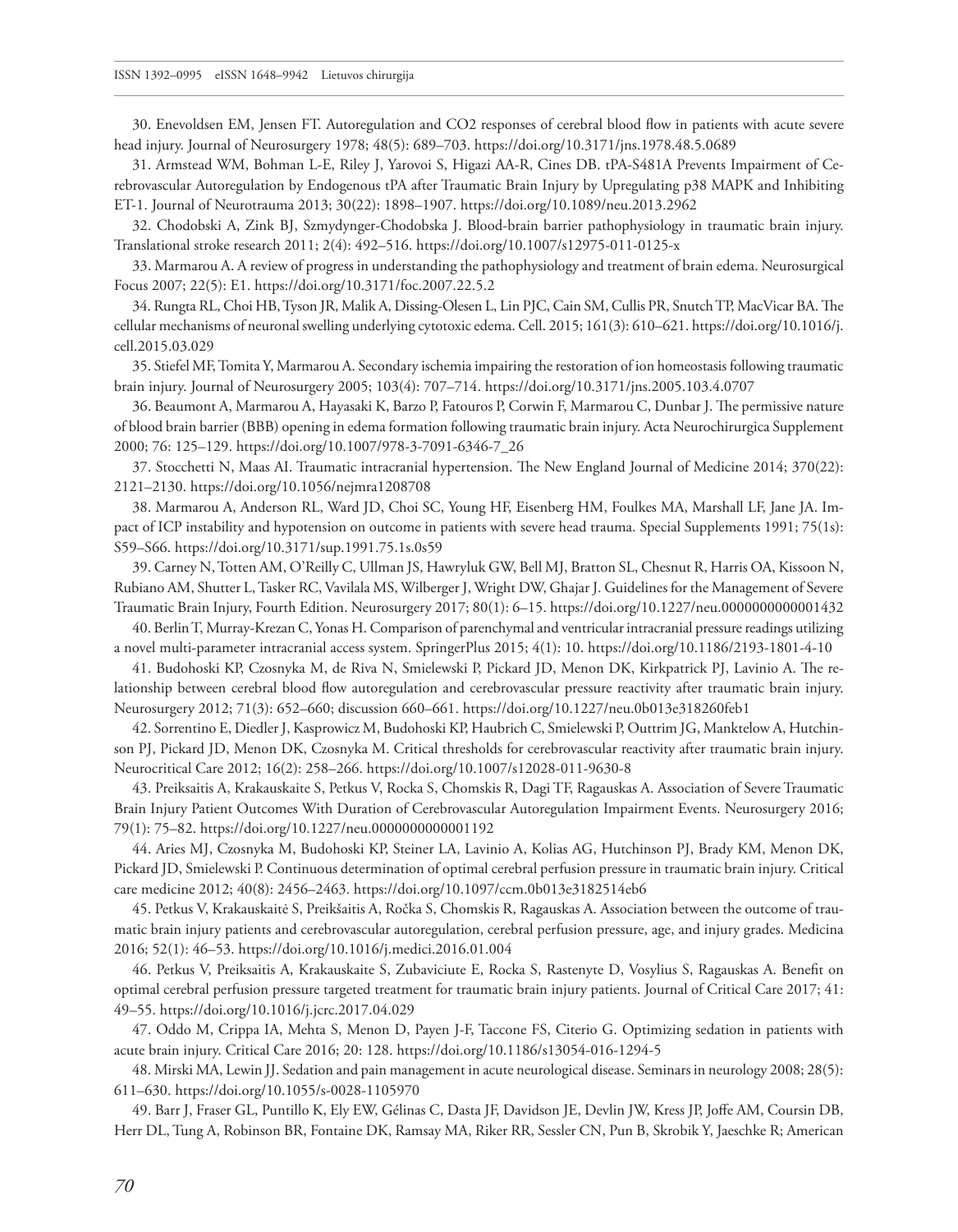30. Enevoldsen EM, Jensen FT. Autoregulation and CO2 responses of cerebral blood flow in patients with acute severe head injury. Journal of Neurosurgery 1978; 48(5): 689–703. <https://doi.org/10.3171/jns.1978.48.5.0689>

31. Armstead WM, Bohman L-E, Riley J, Yarovoi S, Higazi AA-R, Cines DB. tPA-S481A Prevents Impairment of Cerebrovascular Autoregulation by Endogenous tPA after Traumatic Brain Injury by Upregulating p38 MAPK and Inhibiting ET-1. Journal of Neurotrauma 2013; 30(22): 1898–1907.<https://doi.org/10.1089/neu.2013.2962>

32. Chodobski A, Zink BJ, Szmydynger-Chodobska J. Blood-brain barrier pathophysiology in traumatic brain injury. Translational stroke research 2011; 2(4): 492–516. <https://doi.org/10.1007/s12975-011-0125-x>

33. Marmarou A. A review of progress in understanding the pathophysiology and treatment of brain edema. Neurosurgical Focus 2007; 22(5): E1.<https://doi.org/10.3171/foc.2007.22.5.2>

34. Rungta RL, Choi HB, Tyson JR, Malik A, Dissing-Olesen L, Lin PJC, Cain SM, Cullis PR, Snutch TP, MacVicar BA. The cellular mechanisms of neuronal swelling underlying cytotoxic edema. Cell. 2015; 161(3): 610–621. [https://doi.org/10.1016/j.](https://doi.org/10.1016/j.cell.2015.03.029) [cell.2015.03.029](https://doi.org/10.1016/j.cell.2015.03.029)

35. Stiefel MF, Tomita Y, Marmarou A. Secondary ischemia impairing the restoration of ion homeostasis following traumatic brain injury. Journal of Neurosurgery 2005; 103(4): 707–714.<https://doi.org/10.3171/jns.2005.103.4.0707>

36. Beaumont A, Marmarou A, Hayasaki K, Barzo P, Fatouros P, Corwin F, Marmarou C, Dunbar J. The permissive nature of blood brain barrier (BBB) opening in edema formation following traumatic brain injury. Acta Neurochirurgica Supplement 2000; 76: 125–129. [https://doi.org/10.1007/978-3-7091-6346-7\\_26](https://doi.org/10.1007/978-3-7091-6346-7_26)

37. Stocchetti N, Maas AI. Traumatic intracranial hypertension. The New England Journal of Medicine 2014; 370(22): 2121–2130.<https://doi.org/10.1056/nejmra1208708>

38. Marmarou A, Anderson RL, Ward JD, Choi SC, Young HF, Eisenberg HM, Foulkes MA, Marshall LF, Jane JA. Impact of ICP instability and hypotension on outcome in patients with severe head trauma. Special Supplements 1991; 75(1s): S59–S66. <https://doi.org/10.3171/sup.1991.75.1s.0s59>

39. Carney N, Totten AM, O'Reilly C, Ullman JS, Hawryluk GW, Bell MJ, Bratton SL, Chesnut R, Harris OA, Kissoon N, Rubiano AM, Shutter L, Tasker RC, Vavilala MS, Wilberger J, Wright DW, Ghajar J. Guidelines for the Management of Severe Traumatic Brain Injury, Fourth Edition. Neurosurgery 2017; 80(1): 6–15.<https://doi.org/10.1227/neu.0000000000001432>

40. Berlin T, Murray-Krezan C, Yonas H. Comparison of parenchymal and ventricular intracranial pressure readings utilizing a novel multi-parameter intracranial access system. SpringerPlus 2015; 4(1): 10.<https://doi.org/10.1186/2193-1801-4-10>

41. Budohoski KP, Czosnyka M, de Riva N, Smielewski P, Pickard JD, Menon DK, Kirkpatrick PJ, Lavinio A. The relationship between cerebral blood flow autoregulation and cerebrovascular pressure reactivity after traumatic brain injury. Neurosurgery 2012; 71(3): 652–660; discussion 660–661. <https://doi.org/10.1227/neu.0b013e318260feb1>

42. Sorrentino E, Diedler J, Kasprowicz M, Budohoski KP, Haubrich C, Smielewski P, Outtrim JG, Manktelow A, Hutchinson PJ, Pickard JD, Menon DK, Czosnyka M. Critical thresholds for cerebrovascular reactivity after traumatic brain injury. Neurocritical Care 2012; 16(2): 258–266. <https://doi.org/10.1007/s12028-011-9630-8>

43. Preiksaitis A, Krakauskaite S, Petkus V, Rocka S, Chomskis R, Dagi TF, Ragauskas A. Association of Severe Traumatic Brain Injury Patient Outcomes With Duration of Cerebrovascular Autoregulation Impairment Events. Neurosurgery 2016; 79(1): 75–82.<https://doi.org/10.1227/neu.0000000000001192>

44. Aries MJ, Czosnyka M, Budohoski KP, Steiner LA, Lavinio A, Kolias AG, Hutchinson PJ, Brady KM, Menon DK, Pickard JD, Smielewski P. Continuous determination of optimal cerebral perfusion pressure in traumatic brain injury. Critical care medicine 2012; 40(8): 2456–2463. <https://doi.org/10.1097/ccm.0b013e3182514eb6>

45. Petkus V, Krakauskaitė S, Preikšaitis A, Ročka S, Chomskis R, Ragauskas A. Association between the outcome of traumatic brain injury patients and cerebrovascular autoregulation, cerebral perfusion pressure, age, and injury grades. Medicina 2016; 52(1): 46–53.<https://doi.org/10.1016/j.medici.2016.01.004>

46. Petkus V, Preiksaitis A, Krakauskaite S, Zubaviciute E, Rocka S, Rastenyte D, Vosylius S, Ragauskas A. Benefit on optimal cerebral perfusion pressure targeted treatment for traumatic brain injury patients. Journal of Critical Care 2017; 41: 49–55.<https://doi.org/10.1016/j.jcrc.2017.04.029>

47. Oddo M, Crippa IA, Mehta S, Menon D, Payen J-F, Taccone FS, Citerio G. Optimizing sedation in patients with acute brain injury. Critical Care 2016; 20: 128. <https://doi.org/10.1186/s13054-016-1294-5>

48. Mirski MA, Lewin JJ. Sedation and pain management in acute neurological disease. Seminars in neurology 2008; 28(5): 611–630. <https://doi.org/10.1055/s-0028-1105970>

49. Barr J, Fraser GL, Puntillo K, Ely EW, Gélinas C, Dasta JF, Davidson JE, Devlin JW, Kress JP, Joffe AM, Coursin DB, Herr DL, Tung A, Robinson BR, Fontaine DK, Ramsay MA, Riker RR, Sessler CN, Pun B, Skrobik Y, Jaeschke R; American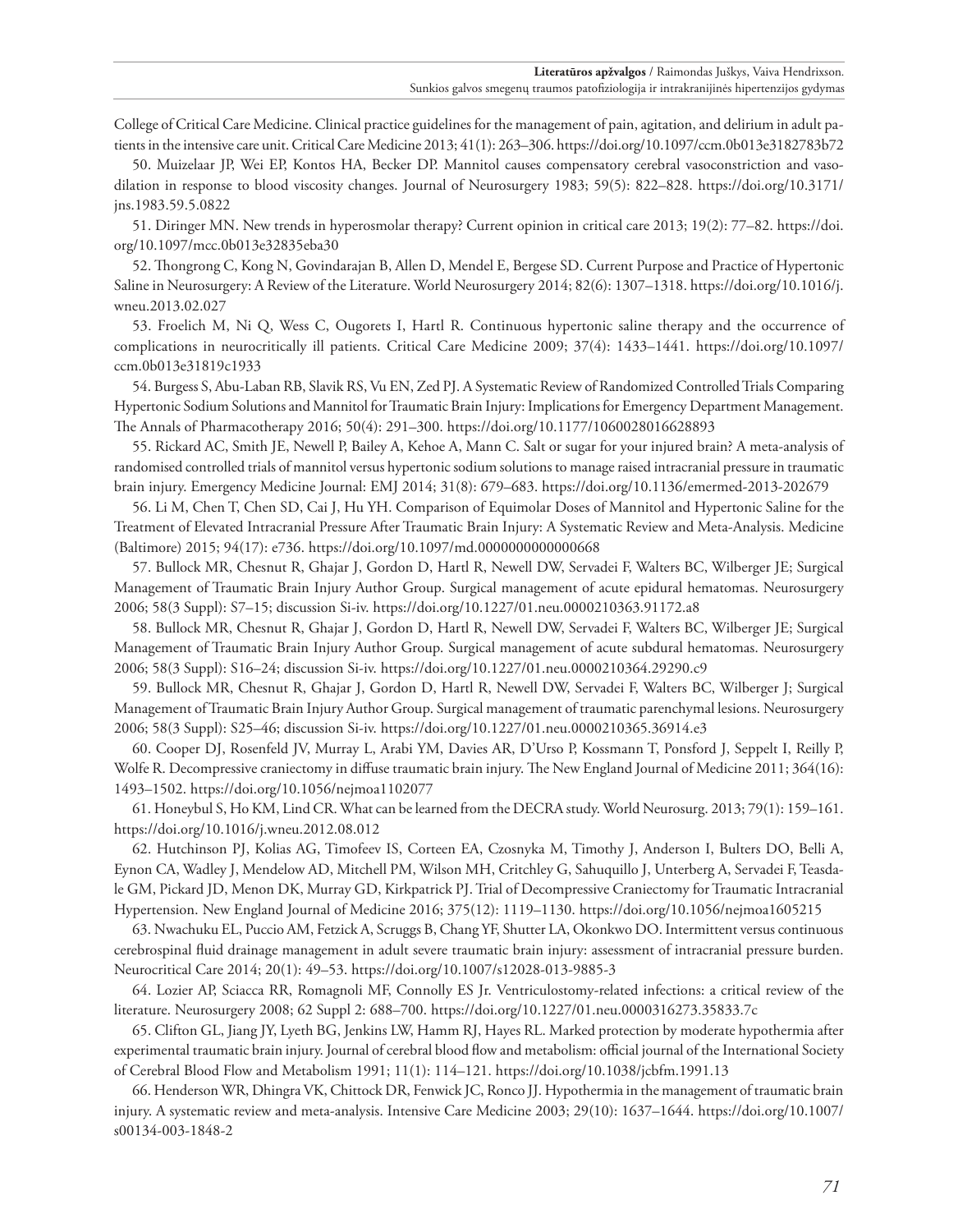College of Critical Care Medicine. Clinical practice guidelines for the management of pain, agitation, and delirium in adult patients in the intensive care unit. Critical Care Medicine 2013; 41(1): 263–306.<https://doi.org/10.1097/ccm.0b013e3182783b72>

50. Muizelaar JP, Wei EP, Kontos HA, Becker DP. Mannitol causes compensatory cerebral vasoconstriction and vasodilation in response to blood viscosity changes. Journal of Neurosurgery 1983; 59(5): 822–828. [https://doi.org/10.3171/](https://doi.org/10.3171/jns.1983.59.5.0822) [jns.1983.59.5.0822](https://doi.org/10.3171/jns.1983.59.5.0822)

51. Diringer MN. New trends in hyperosmolar therapy? Current opinion in critical care 2013; 19(2): 77–82. [https://doi.](https://doi.org/10.1097/mcc.0b013e32835eba30) [org/10.1097/mcc.0b013e32835eba30](https://doi.org/10.1097/mcc.0b013e32835eba30)

52. Thongrong C, Kong N, Govindarajan B, Allen D, Mendel E, Bergese SD. Current Purpose and Practice of Hypertonic Saline in Neurosurgery: A Review of the Literature. World Neurosurgery 2014; 82(6): 1307–1318. [https://doi.org/10.1016/j.](https://doi.org/10.1016/j.wneu.2013.02.027) [wneu.2013.02.027](https://doi.org/10.1016/j.wneu.2013.02.027)

53. Froelich M, Ni Q, Wess C, Ougorets I, Hartl R. Continuous hypertonic saline therapy and the occurrence of complications in neurocritically ill patients. Critical Care Medicine 2009; 37(4): 1433–1441. [https://doi.org/10.1097/](https://doi.org/10.1097/ccm.0b013e31819c1933) [ccm.0b013e31819c1933](https://doi.org/10.1097/ccm.0b013e31819c1933)

54. Burgess S, Abu-Laban RB, Slavik RS, Vu EN, Zed PJ. A Systematic Review of Randomized Controlled Trials Comparing Hypertonic Sodium Solutions and Mannitol for Traumatic Brain Injury: Implications for Emergency Department Management. The Annals of Pharmacotherapy 2016; 50(4): 291–300. <https://doi.org/10.1177/1060028016628893>

55. Rickard AC, Smith JE, Newell P, Bailey A, Kehoe A, Mann C. Salt or sugar for your injured brain? A meta-analysis of randomised controlled trials of mannitol versus hypertonic sodium solutions to manage raised intracranial pressure in traumatic brain injury. Emergency Medicine Journal: EMJ 2014; 31(8): 679–683. <https://doi.org/10.1136/emermed-2013-202679>

56. Li M, Chen T, Chen SD, Cai J, Hu YH. Comparison of Equimolar Doses of Mannitol and Hypertonic Saline for the Treatment of Elevated Intracranial Pressure After Traumatic Brain Injury: A Systematic Review and Meta-Analysis. Medicine (Baltimore) 2015; 94(17): e736. <https://doi.org/10.1097/md.0000000000000668>

57. Bullock MR, Chesnut R, Ghajar J, Gordon D, Hartl R, Newell DW, Servadei F, Walters BC, Wilberger JE; Surgical Management of Traumatic Brain Injury Author Group. Surgical management of acute epidural hematomas. Neurosurgery 2006; 58(3 Suppl): S7–15; discussion Si-iv. <https://doi.org/10.1227/01.neu.0000210363.91172.a8>

58. Bullock MR, Chesnut R, Ghajar J, Gordon D, Hartl R, Newell DW, Servadei F, Walters BC, Wilberger JE; Surgical Management of Traumatic Brain Injury Author Group. Surgical management of acute subdural hematomas. Neurosurgery 2006; 58(3 Suppl): S16–24; discussion Si-iv. <https://doi.org/10.1227/01.neu.0000210364.29290.c9>

59. Bullock MR, Chesnut R, Ghajar J, Gordon D, Hartl R, Newell DW, Servadei F, Walters BC, Wilberger J; Surgical Management of Traumatic Brain Injury Author Group. Surgical management of traumatic parenchymal lesions. Neurosurgery 2006; 58(3 Suppl): S25–46; discussion Si-iv. <https://doi.org/10.1227/01.neu.0000210365.36914.e3>

60. Cooper DJ, Rosenfeld JV, Murray L, Arabi YM, Davies AR, D'Urso P, Kossmann T, Ponsford J, Seppelt I, Reilly P, Wolfe R. Decompressive craniectomy in diffuse traumatic brain injury. The New England Journal of Medicine 2011; 364(16): 1493–1502.<https://doi.org/10.1056/nejmoa1102077>

61. Honeybul S, Ho KM, Lind CR. What can be learned from the DECRA study. World Neurosurg. 2013; 79(1): 159–161. <https://doi.org/10.1016/j.wneu.2012.08.012>

62. Hutchinson PJ, Kolias AG, Timofeev IS, Corteen EA, Czosnyka M, Timothy J, Anderson I, Bulters DO, Belli A, Eynon CA, Wadley J, Mendelow AD, Mitchell PM, Wilson MH, Critchley G, Sahuquillo J, Unterberg A, Servadei F, Teasdale GM, Pickard JD, Menon DK, Murray GD, Kirkpatrick PJ. Trial of Decompressive Craniectomy for Traumatic Intracranial Hypertension. New England Journal of Medicine 2016; 375(12): 1119–1130.<https://doi.org/10.1056/nejmoa1605215>

63. Nwachuku EL, Puccio AM, Fetzick A, Scruggs B, Chang YF, Shutter LA, Okonkwo DO. Intermittent versus continuous cerebrospinal fluid drainage management in adult severe traumatic brain injury: assessment of intracranial pressure burden. Neurocritical Care 2014; 20(1): 49–53.<https://doi.org/10.1007/s12028-013-9885-3>

64. Lozier AP, Sciacca RR, Romagnoli MF, Connolly ES Jr. Ventriculostomy-related infections: a critical review of the literature. Neurosurgery 2008; 62 Suppl 2: 688–700. <https://doi.org/10.1227/01.neu.0000316273.35833.7c>

65. Clifton GL, Jiang JY, Lyeth BG, Jenkins LW, Hamm RJ, Hayes RL. Marked protection by moderate hypothermia after experimental traumatic brain injury. Journal of cerebral blood flow and metabolism: official journal of the International Society of Cerebral Blood Flow and Metabolism 1991; 11(1): 114–121.<https://doi.org/10.1038/jcbfm.1991.13>

66. Henderson WR, Dhingra VK, Chittock DR, Fenwick JC, Ronco JJ. Hypothermia in the management of traumatic brain injury. A systematic review and meta-analysis. Intensive Care Medicine 2003; 29(10): 1637–1644. [https://doi.org/10.1007/](https://doi.org/10.1007/s00134-003-1848-2) [s00134-003-1848-2](https://doi.org/10.1007/s00134-003-1848-2)